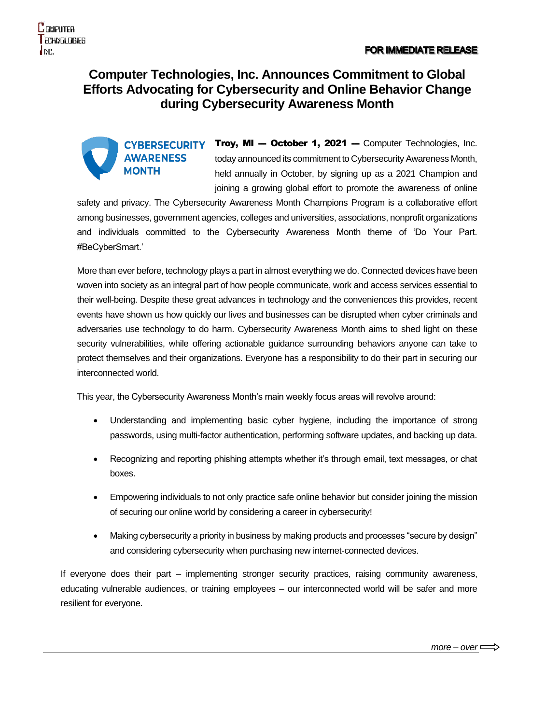## **Computer Technologies, Inc. Announces Commitment to Global Efforts Advocating for Cybersecurity and Online Behavior Change during Cybersecurity Awareness Month**

CYBERSECURITY Troy, MI -- October 1, 2021 -- Computer Technologies, Inc. **AWARENESS** today announced its commitment to Cybersecurity Awareness Month, **MONTH** held annually in October, by signing up as a 2021 Champion and joining a growing global effort to promote the awareness of online

safety and privacy. The Cybersecurity Awareness Month Champions Program is a collaborative effort among businesses, government agencies, colleges and universities, associations, nonprofit organizations and individuals committed to the Cybersecurity Awareness Month theme of 'Do Your Part. #BeCyberSmart.'

More than ever before, technology plays a part in almost everything we do. Connected devices have been woven into society as an integral part of how people communicate, work and access services essential to their well-being. Despite these great advances in technology and the conveniences this provides, recent events have shown us how quickly our lives and businesses can be disrupted when cyber criminals and adversaries use technology to do harm. Cybersecurity Awareness Month aims to shed light on these security vulnerabilities, while offering actionable guidance surrounding behaviors anyone can take to protect themselves and their organizations. Everyone has a responsibility to do their part in securing our interconnected world.

This year, the Cybersecurity Awareness Month's main weekly focus areas will revolve around:

- Understanding and implementing basic cyber hygiene, including the importance of strong passwords, using multi-factor authentication, performing software updates, and backing up data.
- Recognizing and reporting phishing attempts whether it's through email, text messages, or chat boxes.
- Empowering individuals to not only practice safe online behavior but consider joining the mission of securing our online world by considering a career in cybersecurity!
- Making cybersecurity a priority in business by making products and processes "secure by design" and considering cybersecurity when purchasing new internet-connected devices.

If everyone does their part – implementing stronger security practices, raising community awareness, educating vulnerable audiences, or training employees – our interconnected world will be safer and more resilient for everyone.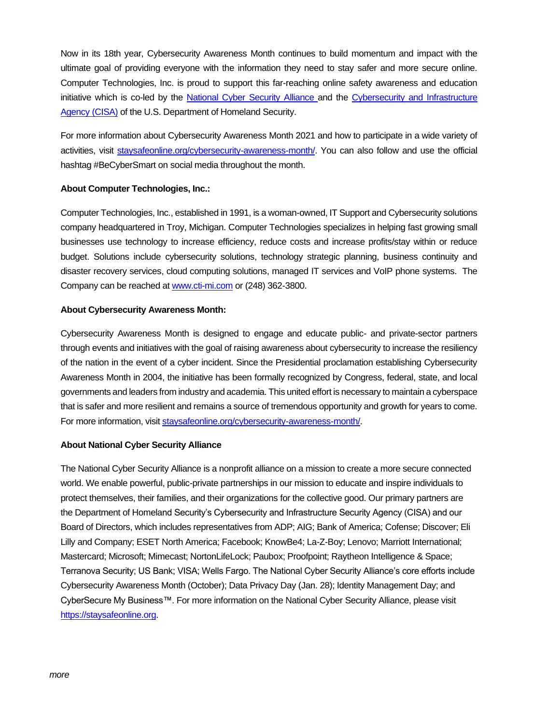Now in its 18th year, Cybersecurity Awareness Month continues to build momentum and impact with the ultimate goal of providing everyone with the information they need to stay safer and more secure online. Computer Technologies, Inc. is proud to support this far-reaching online safety awareness and education initiative which is co-led by the [National Cyber Security Alliance a](https://staysafeonline.org/)nd the [Cybersecurity and Infrastructure](https://www.dhs.gov/CISA)  Agency (CISA) [of the U.S. Department of Homeland Security.](https://www.dhs.gov/CISA)

For more information about Cybersecurity Awareness Month 2021 and how to participate in a wide variety of activities, visit [staysafeonline.org/cybersecurity-awareness-month/.](https://staysafeonline.org/cybersecurity-awareness-month/) You can also follow and use the official hashtag #BeCyberSmart on social media throughout the month.

## **About Computer Technologies, Inc.:**

Computer Technologies, Inc., established in 1991, is a woman-owned, IT Support and Cybersecurity solutions company headquartered in Troy, Michigan. Computer Technologies specializes in helping fast growing small businesses use technology to increase efficiency, reduce costs and increase profits/stay within or reduce budget. Solutions include cybersecurity solutions, technology strategic planning, business continuity and disaster recovery services, cloud computing solutions, managed IT services and VoIP phone systems. The Company can be reached at [www.cti-mi.com](http://www.cti-mi.com/) or (248) 362-3800.

## **About Cybersecurity Awareness Month:**

Cybersecurity Awareness Month is designed to engage and educate public- and private-sector partners through events and initiatives with the goal of raising awareness about cybersecurity to increase the resiliency of the nation in the event of a cyber incident. Since the Presidential proclamation establishing Cybersecurity Awareness Month in 2004, the initiative has been formally recognized by Congress, federal, state, and local governments and leaders from industry and academia. This united effort is necessary to maintain a cyberspace that is safer and more resilient and remains a source of tremendous opportunity and growth for years to come. For more information, visi[t staysafeonline.org/cybersecurity-awareness-month/.](https://staysafeonline.org/cybersecurity-awareness-month/)

## **About National Cyber Security Alliance**

The National Cyber Security Alliance is a nonprofit alliance on a mission to create a more secure connected world. We enable powerful, public-private partnerships in our mission to educate and inspire individuals to protect themselves, their families, and their organizations for the collective good. Our primary partners are the Department of Homeland Security's Cybersecurity and Infrastructure Security Agency (CISA) and our Board of Directors, which includes representatives from ADP; AIG; Bank of America; Cofense; Discover; Eli Lilly and Company; ESET North America; Facebook; KnowBe4; La-Z-Boy; Lenovo; Marriott International; Mastercard; Microsoft; Mimecast; NortonLifeLock; Paubox; Proofpoint; Raytheon Intelligence & Space; Terranova Security; US Bank; VISA; Wells Fargo. The National Cyber Security Alliance's core efforts include Cybersecurity Awareness Month (October); Data Privacy Day (Jan. 28); Identity Management Day; and CyberSecure My Business™. For more information on the National Cyber Security Alliance, please visit [https://staysafeonline.org.](https://staysafeonline.org/)